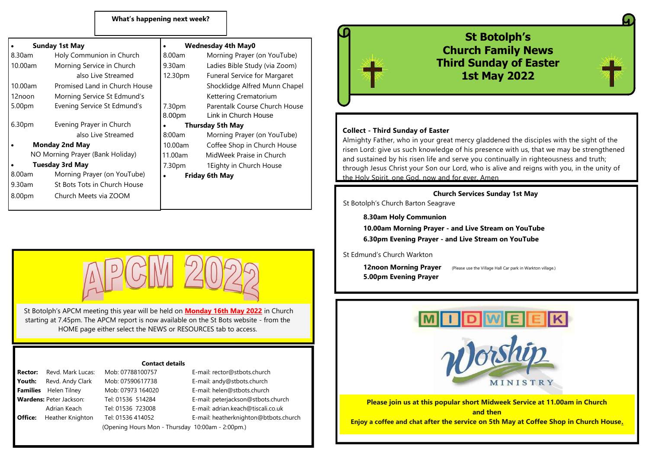#### **What's happening next week?**

| <b>Sunday 1st May</b>            |                               | <b>Wednesday 4th May0</b> |                                     |
|----------------------------------|-------------------------------|---------------------------|-------------------------------------|
| 8.30am                           | Holy Communion in Church      | $8.00$ am                 | Morning Prayer (on YouTube)         |
| 10.00am                          | Morning Service in Church     | 9.30am                    | Ladies Bible Study (via Zoom)       |
|                                  | also Live Streamed            | 12.30pm                   | <b>Funeral Service for Margaret</b> |
| 10.00am                          | Promised Land in Church House |                           | Shocklidge Alfred Munn Chapel       |
| 12noon                           | Morning Service St Edmund's   |                           | Kettering Crematorium               |
| 5.00pm                           | Evening Service St Edmund's   | 7.30pm                    | Parentalk Course Church House       |
|                                  |                               | 8.00pm                    | Link in Church House                |
| 6.30 <sub>pm</sub>               | Evening Prayer in Church      | <b>Thursday 5th May</b>   |                                     |
|                                  | also Live Streamed            | $8:00$ am                 | Morning Prayer (on YouTube)         |
| <b>Monday 2nd May</b>            |                               | $10.00$ am                | Coffee Shop in Church House         |
| NO Morning Prayer (Bank Holiday) |                               | 11.00am                   | MidWeek Praise in Church            |
| <b>Tuesday 3rd May</b>           |                               | 7.30pm                    | 1 Eighty in Church House            |
| $8.00$ am                        | Morning Prayer (on YouTube)   |                           | <b>Friday 6th May</b>               |
| $9.30$ am                        | St Bots Tots in Church House  |                           |                                     |
| 8.00pm                           | Church Meets via ZOOM         |                           |                                     |



St Botolph's APCM meeting this year will be held on **Monday 16th May 2022** in Church starting at 7.45pm. The APCM report is now available on the St Bots website - from the HOME page either select the NEWS or RESOURCES tab to access.

#### **Contact details**

**Rector:** Revd. Mark Lucas: Mob: 07788100757 E-mail: rector@stbots.church Youth: Revd. Andy Clark Mob: 07590617738 E-mail: andy@stbots.church **Families** Helen Tilney Mob: 07973 164020 E-mail: helen@stbots.church **Wardens:** Peter Jackson: Tel: 01536 514284 E-mail: peterjackson@stbots.church Adrian Keach Tel: 01536 723008 E-mail: adrian.keach@tiscali.co.uk **Office:** Heather Knighton Tel: 01536 414052 E-mail: heatherknighton@btbots.church

(Opening Hours Mon - Thursday 10:00am - 2:00pm.)



### **St Botolph's Morning Prayer (on YouTube) 1988 (on YouTube) 1989 (on YouTube) 2016 (on YouTube)** 2016 10.000<sub>7</sub><br><sub>Zoom</sub> North Study Studies Bible Studies Bible Studies Bible Studies Bible Study (via Ladies Bible Study of Easter garet **Live Streamed 12.30pm Funeral Service for May 2022**



### $\frac{1}{\sqrt{10}}$  Live  $\frac{1}{\sqrt{10}}$  Collect - Third Sunday of Easter

Almighty Father, who in your great mercy gladdened the disciples with the sight of the House<br>risen Lord: give us such knowledge of his presence with us, that we may be strengthened<br>and sustained by his risen life and serve you continually in righteousness and truth; <sup>e</sup> **Tuesday** 1.30 pm 1.30pm 1.30pm 1.30pm 1.30pm 1.30pm 1.30pm 1.30pm 1.30pm 1.30pm 1.30pm 1.30pm 1.30pm 1.30pm 1 the Holy Spirit, one God, now and for ever. Amen

#### **Church Services Sunday 1st May**

St Botolph's Church Barton Seagrave

**8.30am Holy Communion**

**10.00am Morning Prayer - and Live Stream on YouTube 6.30pm Evening Prayer - and Live Stream on YouTube**

St Edmund's Church Warkton

**5.00pm Evening Prayer**

**12noon Morning Prayer** (Please use the Village Hall Car park in Warkton village.)



**Please join us at this popular short Midweek Service at 11.00am in Church and then Enjoy a coffee and chat after the service on 5th May at Coffee Shop in Church House.**